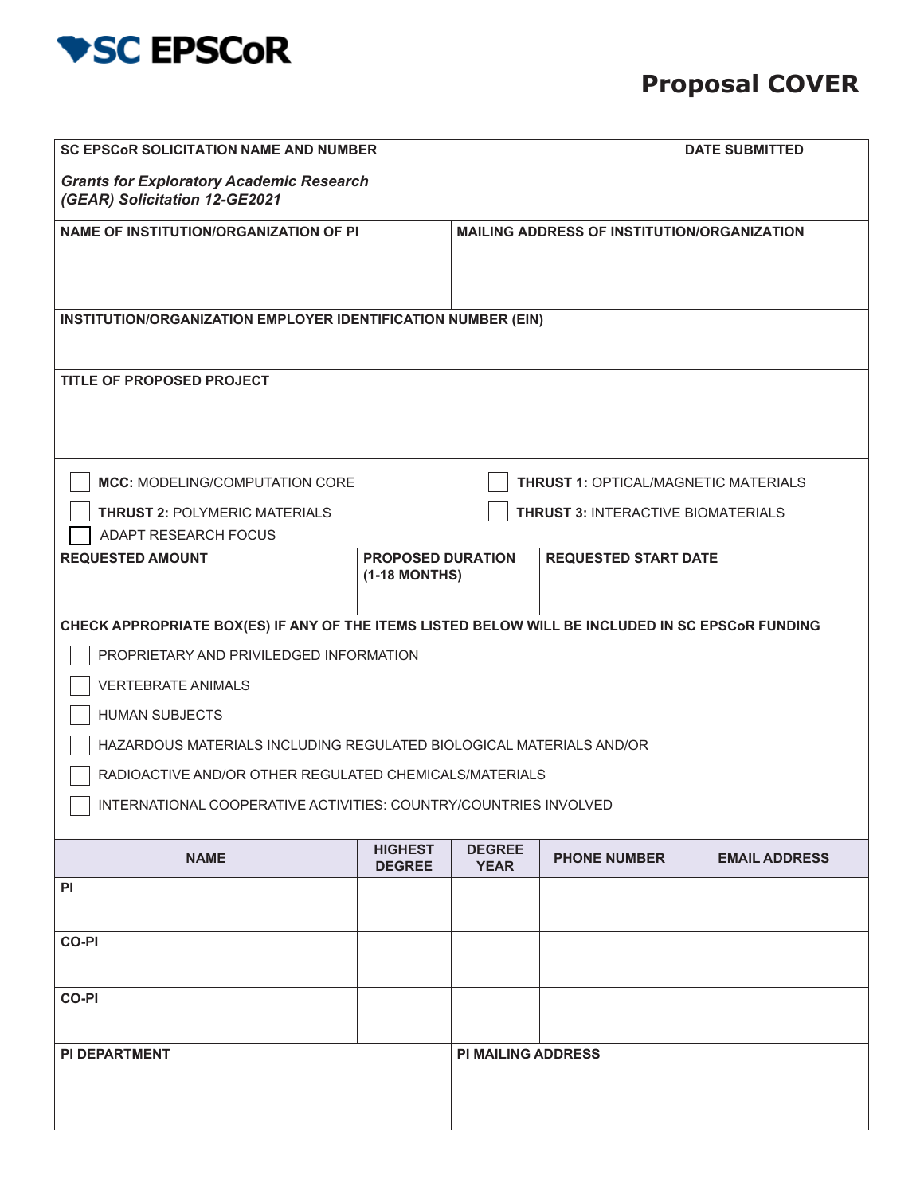

## **Proposal COVER**

| <b>SC EPSCOR SOLICITATION NAME AND NUMBER</b><br><b>Grants for Exploratory Academic Research</b><br>(GEAR) Solicitation 12-GE2021                                                                                                                                                                                                                                                                      | <b>DATE SUBMITTED</b>                     |                                                    |                             |                      |  |  |  |
|--------------------------------------------------------------------------------------------------------------------------------------------------------------------------------------------------------------------------------------------------------------------------------------------------------------------------------------------------------------------------------------------------------|-------------------------------------------|----------------------------------------------------|-----------------------------|----------------------|--|--|--|
| <b>NAME OF INSTITUTION/ORGANIZATION OF PI</b>                                                                                                                                                                                                                                                                                                                                                          |                                           | <b>MAILING ADDRESS OF INSTITUTION/ORGANIZATION</b> |                             |                      |  |  |  |
| INSTITUTION/ORGANIZATION EMPLOYER IDENTIFICATION NUMBER (EIN)                                                                                                                                                                                                                                                                                                                                          |                                           |                                                    |                             |                      |  |  |  |
| TITLE OF PROPOSED PROJECT                                                                                                                                                                                                                                                                                                                                                                              |                                           |                                                    |                             |                      |  |  |  |
| <b>MCC: MODELING/COMPUTATION CORE</b><br><b>THRUST 1: OPTICAL/MAGNETIC MATERIALS</b>                                                                                                                                                                                                                                                                                                                   |                                           |                                                    |                             |                      |  |  |  |
| <b>THRUST 2: POLYMERIC MATERIALS</b><br><b>THRUST 3: INTERACTIVE BIOMATERIALS</b><br>ADAPT RESEARCH FOCUS                                                                                                                                                                                                                                                                                              |                                           |                                                    |                             |                      |  |  |  |
| <b>REQUESTED AMOUNT</b>                                                                                                                                                                                                                                                                                                                                                                                | <b>PROPOSED DURATION</b><br>(1-18 MONTHS) |                                                    | <b>REQUESTED START DATE</b> |                      |  |  |  |
| CHECK APPROPRIATE BOX(ES) IF ANY OF THE ITEMS LISTED BELOW WILL BE INCLUDED IN SC EPSCOR FUNDING<br>PROPRIETARY AND PRIVILEDGED INFORMATION<br><b>VERTEBRATE ANIMALS</b><br><b>HUMAN SUBJECTS</b><br>HAZARDOUS MATERIALS INCLUDING REGULATED BIOLOGICAL MATERIALS AND/OR<br>RADIOACTIVE AND/OR OTHER REGULATED CHEMICALS/MATERIALS<br>INTERNATIONAL COOPERATIVE ACTIVITIES: COUNTRY/COUNTRIES INVOLVED |                                           |                                                    |                             |                      |  |  |  |
| <b>NAME</b>                                                                                                                                                                                                                                                                                                                                                                                            | <b>HIGHEST</b><br><b>DEGREE</b>           | <b>DEGREE</b><br><b>YEAR</b>                       | <b>PHONE NUMBER</b>         | <b>EMAIL ADDRESS</b> |  |  |  |
| <b>PI</b>                                                                                                                                                                                                                                                                                                                                                                                              |                                           |                                                    |                             |                      |  |  |  |
| <b>CO-PI</b>                                                                                                                                                                                                                                                                                                                                                                                           |                                           |                                                    |                             |                      |  |  |  |
| <b>CO-PI</b>                                                                                                                                                                                                                                                                                                                                                                                           |                                           |                                                    |                             |                      |  |  |  |
| <b>PI DEPARTMENT</b>                                                                                                                                                                                                                                                                                                                                                                                   |                                           | <b>PI MAILING ADDRESS</b>                          |                             |                      |  |  |  |